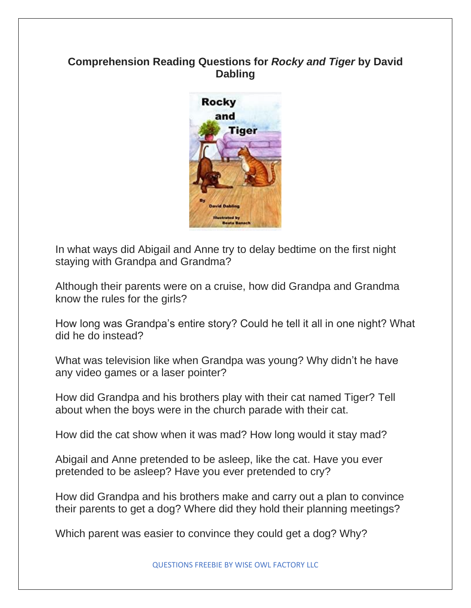## **Comprehension Reading Questions for** *Rocky and Tiger* **by David Dabling**



In what ways did Abigail and Anne try to delay bedtime on the first night staying with Grandpa and Grandma?

Although their parents were on a cruise, how did Grandpa and Grandma know the rules for the girls?

How long was Grandpa's entire story? Could he tell it all in one night? What did he do instead?

What was television like when Grandpa was young? Why didn't he have any video games or a laser pointer?

How did Grandpa and his brothers play with their cat named Tiger? Tell about when the boys were in the church parade with their cat.

How did the cat show when it was mad? How long would it stay mad?

Abigail and Anne pretended to be asleep, like the cat. Have you ever pretended to be asleep? Have you ever pretended to cry?

How did Grandpa and his brothers make and carry out a plan to convince their parents to get a dog? Where did they hold their planning meetings?

Which parent was easier to convince they could get a dog? Why?

QUESTIONS FREEBIE BY WISE OWL FACTORY LLC